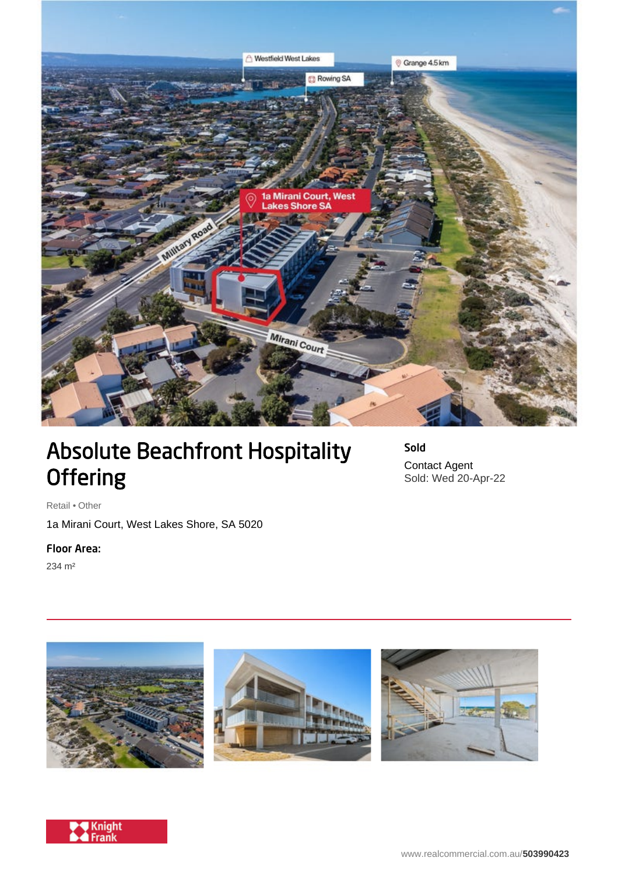

## Absolute Beachfront Hospitality **Offering**

Sold Contact Agent Sold: Wed 20-Apr-22

Retail • Other

1a Mirani Court, West Lakes Shore, SA 5020

## Floor Area:

234 m²